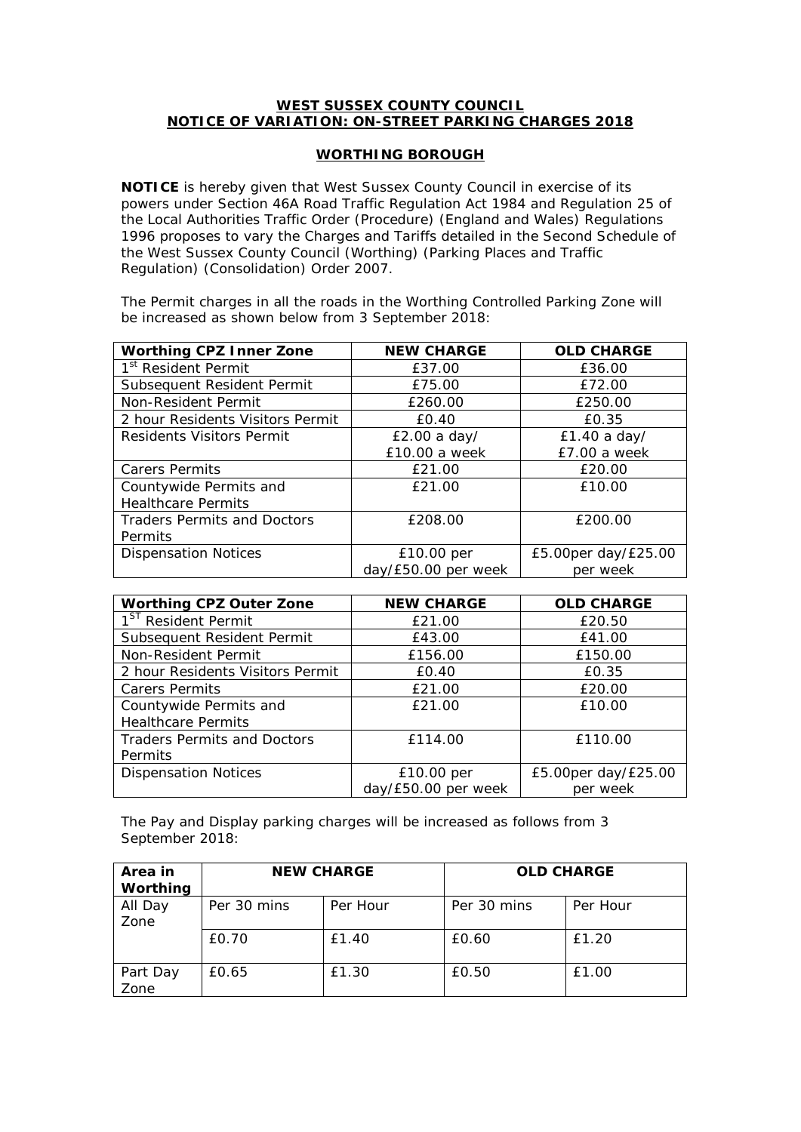## **WEST SUSSEX COUNTY COUNCIL NOTICE OF VARIATION: ON-STREET PARKING CHARGES 2018**

## **WORTHING BOROUGH**

**NOTICE** is hereby given that West Sussex County Council in exercise of its powers under Section 46A Road Traffic Regulation Act 1984 and Regulation 25 of the Local Authorities Traffic Order (Procedure) (England and Wales) Regulations 1996 proposes to vary the Charges and Tariffs detailed in the Second Schedule of the West Sussex County Council (Worthing) (Parking Places and Traffic Regulation) (Consolidation) Order 2007.

The Permit charges in all the roads in the Worthing Controlled Parking Zone will be increased as shown below from 3 September 2018:

| <b>Worthing CPZ Inner Zone</b>     | <b>NEW CHARGE</b>   | <b>OLD CHARGE</b>   |
|------------------------------------|---------------------|---------------------|
| 1 <sup>st</sup> Resident Permit    | £37.00              | £36.00              |
| Subsequent Resident Permit         | £75.00              | £72.00              |
| Non-Resident Permit                | £260.00             | £250.00             |
| 2 hour Residents Visitors Permit   | £0.40               | £0.35               |
| Residents Visitors Permit          | £2.00 a day/        | £1.40 a day/        |
|                                    | £10.00 a week       | £7.00 a week        |
| <b>Carers Permits</b>              | £21.00              | £20.00              |
| Countywide Permits and             | £21.00              | £10.00              |
| <b>Healthcare Permits</b>          |                     |                     |
| <b>Traders Permits and Doctors</b> | £208.00             | £200.00             |
| Permits                            |                     |                     |
| <b>Dispensation Notices</b>        | £10.00 per          | £5.00per day/£25.00 |
|                                    | day/£50.00 per week | per week            |

| <b>Worthing CPZ Outer Zone</b>     | <b>NEW CHARGE</b>   | <b>OLD CHARGE</b>   |  |
|------------------------------------|---------------------|---------------------|--|
| 1 <sup>ST</sup> Resident Permit    | £21.00              | £20.50              |  |
| Subsequent Resident Permit         | £43.00<br>£41.00    |                     |  |
| Non-Resident Permit                | £156.00             | £150.00             |  |
| 2 hour Residents Visitors Permit   | £0.40               | £0.35               |  |
| <b>Carers Permits</b>              | £21.00              | £20.00              |  |
| Countywide Permits and             | £21.00              | £10.00              |  |
| <b>Healthcare Permits</b>          |                     |                     |  |
| <b>Traders Permits and Doctors</b> | £114.00             | £110.00             |  |
| <b>Permits</b>                     |                     |                     |  |
| <b>Dispensation Notices</b>        | £10.00 per          | £5.00per day/£25.00 |  |
|                                    | day/£50.00 per week | per week            |  |

The Pay and Display parking charges will be increased as follows from 3 September 2018:

| Area in<br>Worthing | <b>NEW CHARGE</b> |          | <b>OLD CHARGE</b> |          |
|---------------------|-------------------|----------|-------------------|----------|
| All Day<br>Zone     | Per 30 mins       | Per Hour | Per 30 mins       | Per Hour |
|                     | £0.70             | £1.40    | £0.60             | £1.20    |
| Part Day<br>Zone    | £0.65             | £1.30    | £0.50             | £1.00    |